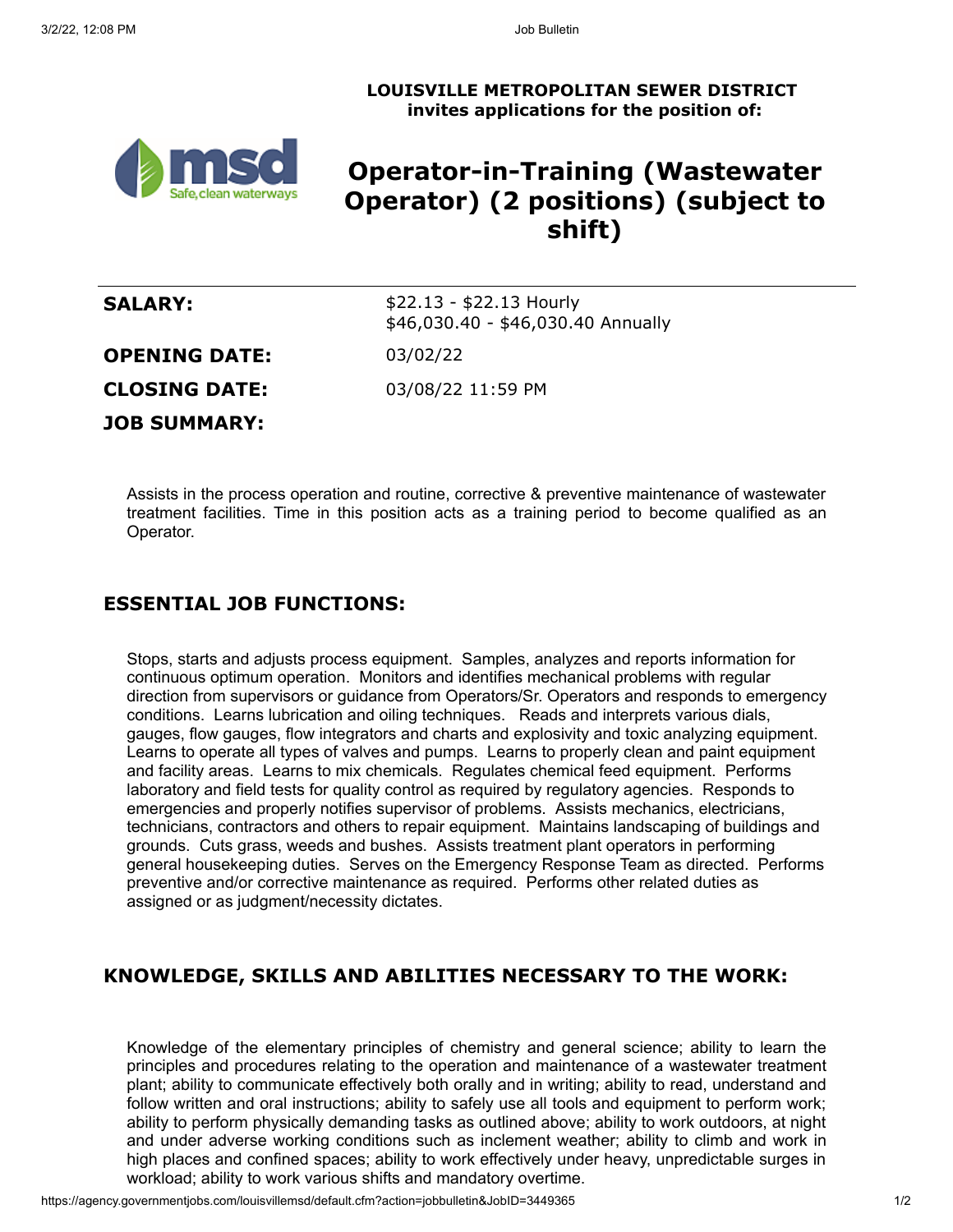**LOUISVILLE METROPOLITAN SEWER DISTRICT invites applications for the position of:**



# **Operator-in-Training (Wastewater Operator) (2 positions) (subject to shift)**

| <b>SALARY:</b>       | $$22.13 - $22.13$ Hourly<br>\$46,030.40 - \$46,030.40 Annually |
|----------------------|----------------------------------------------------------------|
| <b>OPENING DATE:</b> | 03/02/22                                                       |
| <b>CLOSING DATE:</b> | 03/08/22 11:59 PM                                              |
| <b>JOB SUMMARY:</b>  |                                                                |

Assists in the process operation and routine, corrective & preventive maintenance of wastewater treatment facilities. Time in this position acts as a training period to become qualified as an Operator.

### **ESSENTIAL JOB FUNCTIONS:**

Stops, starts and adjusts process equipment. Samples, analyzes and reports information for continuous optimum operation. Monitors and identifies mechanical problems with regular direction from supervisors or guidance from Operators/Sr. Operators and responds to emergency conditions. Learns lubrication and oiling techniques. Reads and interprets various dials, gauges, flow gauges, flow integrators and charts and explosivity and toxic analyzing equipment. Learns to operate all types of valves and pumps. Learns to properly clean and paint equipment and facility areas. Learns to mix chemicals. Regulates chemical feed equipment. Performs laboratory and field tests for quality control as required by regulatory agencies. Responds to emergencies and properly notifies supervisor of problems. Assists mechanics, electricians, technicians, contractors and others to repair equipment. Maintains landscaping of buildings and grounds. Cuts grass, weeds and bushes. Assists treatment plant operators in performing general housekeeping duties. Serves on the Emergency Response Team as directed. Performs preventive and/or corrective maintenance as required. Performs other related duties as assigned or as judgment/necessity dictates.

## **KNOWLEDGE, SKILLS AND ABILITIES NECESSARY TO THE WORK:**

Knowledge of the elementary principles of chemistry and general science; ability to learn the principles and procedures relating to the operation and maintenance of a wastewater treatment plant; ability to communicate effectively both orally and in writing; ability to read, understand and follow written and oral instructions; ability to safely use all tools and equipment to perform work; ability to perform physically demanding tasks as outlined above; ability to work outdoors, at night and under adverse working conditions such as inclement weather; ability to climb and work in high places and confined spaces; ability to work effectively under heavy, unpredictable surges in workload; ability to work various shifts and mandatory overtime.